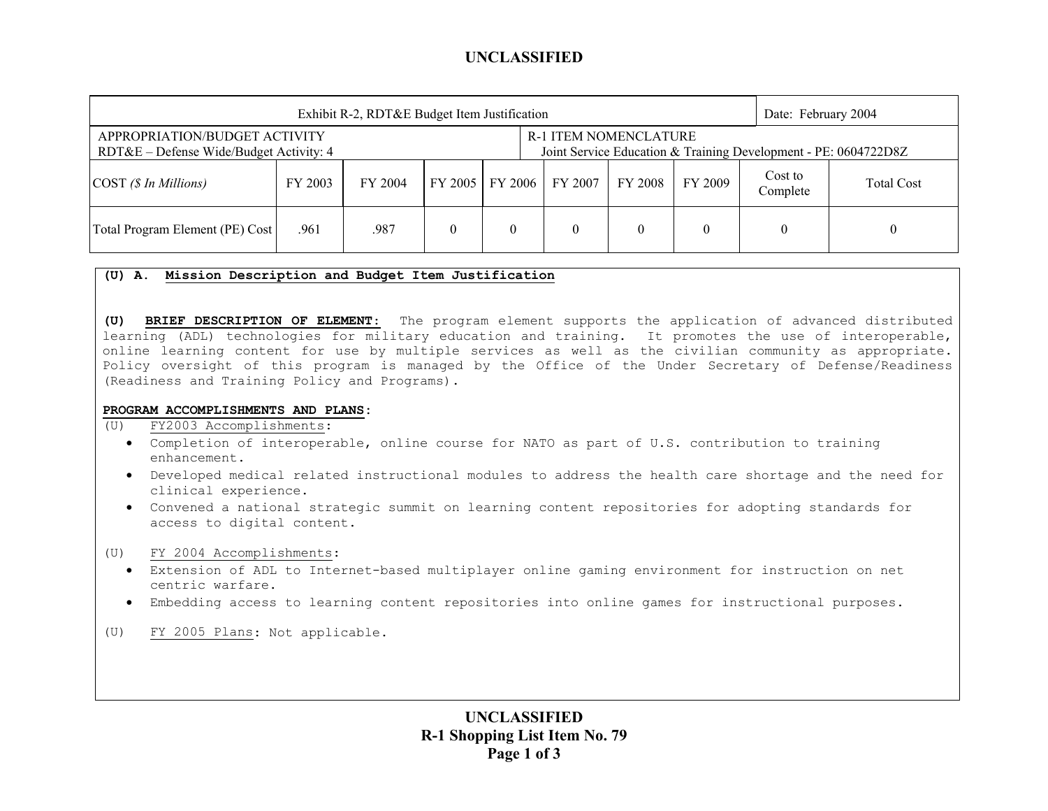## **UNCLASSIFIED**

| Exhibit R-2, RDT&E Budget Item Justification                               |         |         |                   |  |                                                                                                 |         |         | Date: February 2004 |                   |
|----------------------------------------------------------------------------|---------|---------|-------------------|--|-------------------------------------------------------------------------------------------------|---------|---------|---------------------|-------------------|
| APPROPRIATION/BUDGET ACTIVITY<br>$RDT&E$ – Defense Wide/Budget Activity: 4 |         |         |                   |  | <b>R-1 ITEM NOMENCLATURE</b><br>Joint Service Education & Training Development - PE: 0604722D8Z |         |         |                     |                   |
| $\text{COST}$ (\$ In Millions)                                             | FY 2003 | FY 2004 | FY 2005   FY 2006 |  | FY 2007                                                                                         | FY 2008 | FY 2009 | Cost to<br>Complete | <b>Total Cost</b> |
| Total Program Element (PE) Cost                                            | .961    | .987    |                   |  |                                                                                                 |         |         |                     |                   |

### **(U) A. Mission Description and Budget Item Justification**

**(U) BRIEF DESCRIPTION OF ELEMENT**: The program element supports the application of advanced distributed learning (ADL) technologies for military education and training. It promotes the use of interoperable, online learning content for use by multiple services as well as the civilian community as appropriate. Policy oversight of this program is managed by the Office of the Under Secretary of Defense/Readiness (Readiness and Training Policy and Programs).

#### **PROGRAM ACCOMPLISHMENTS AND PLANS:**

(U) FY2003 Accomplishments:

- Completion of interoperable, online course for NATO as part of U.S. contribution to training enhancement.
- Developed medical related instructional modules to address the health care shortage and the need for clinical experience.
- Convened a national strategic summit on learning content repositories for adopting standards for access to digital content.
- (U) FY 2004 Accomplishments:
	- Extension of ADL to Internet-based multiplayer online gaming environment for instruction on net centric warfare.
	- Embedding access to learning content repositories into online games for instructional purposes.
- (U) FY 2005 Plans: Not applicable.

**UNCLASSIFIED R-1 Shopping List Item No. 79 Page 1 of 3**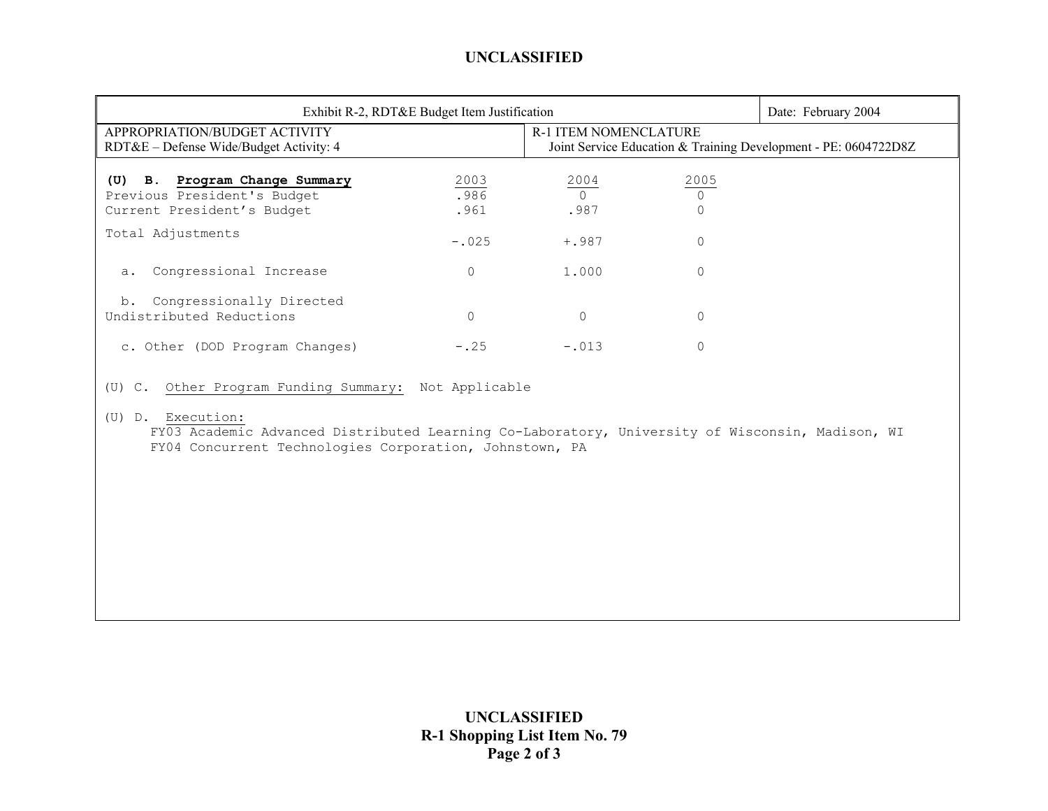# **UNCLASSIFIED**

| Exhibit R-2, RDT&E Budget Item Justification                                                                                                                                                                                            | Date: February 2004  |                                                                                                 |                             |  |  |  |
|-----------------------------------------------------------------------------------------------------------------------------------------------------------------------------------------------------------------------------------------|----------------------|-------------------------------------------------------------------------------------------------|-----------------------------|--|--|--|
| APPROPRIATION/BUDGET ACTIVITY<br>RDT&E – Defense Wide/Budget Activity: 4                                                                                                                                                                |                      | <b>R-1 ITEM NOMENCLATURE</b><br>Joint Service Education & Training Development - PE: 0604722D8Z |                             |  |  |  |
| (U) B. Program Change Summary<br>Previous President's Budget<br>Current President's Budget                                                                                                                                              | 2003<br>.986<br>.961 | 2004<br>$\bigcap$<br>.987                                                                       | 2005<br>$\circ$<br>$\Omega$ |  |  |  |
| Total Adjustments                                                                                                                                                                                                                       | $-.025$              | $+, 987$                                                                                        | $\mathbf{0}$                |  |  |  |
| Congressional Increase<br>a.                                                                                                                                                                                                            | 0                    | 1.000                                                                                           | 0                           |  |  |  |
| Congressionally Directed<br>b.<br>Undistributed Reductions                                                                                                                                                                              | $\Omega$             | $\circ$                                                                                         | $\circ$                     |  |  |  |
| c. Other (DOD Program Changes)                                                                                                                                                                                                          | $-.25$               | $-.013$                                                                                         | $\mathbf 0$                 |  |  |  |
| (U) C. Other Program Funding Summary: Not Applicable<br>(U) D. Execution:<br>FY03 Academic Advanced Distributed Learning Co-Laboratory, University of Wisconsin, Madison, WI<br>FY04 Concurrent Technologies Corporation, Johnstown, PA |                      |                                                                                                 |                             |  |  |  |